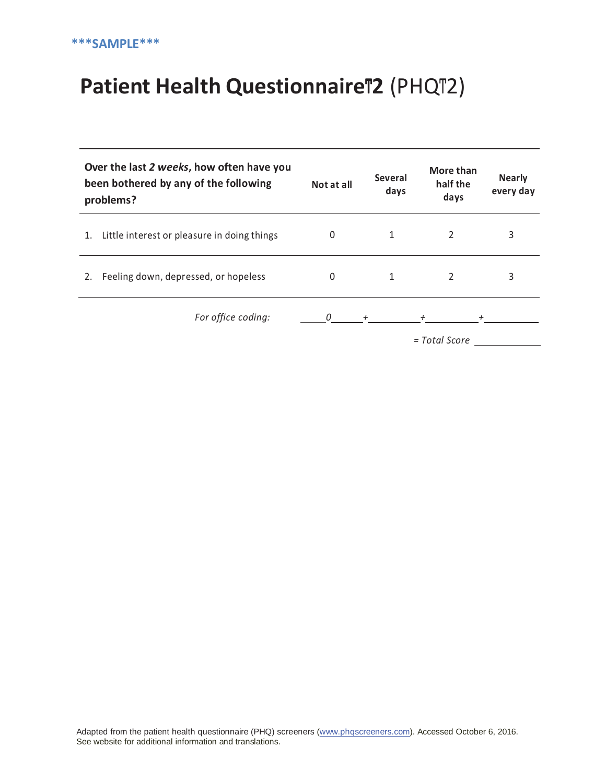## **Patient Health QuestionnaireͲ2** (PHQͲ2)

| Over the last 2 weeks, how often have you<br>been bothered by any of the following<br>problems? |                                             | Not at all | <b>Several</b><br>days | More than<br>half the<br>days | <b>Nearly</b><br>every day |
|-------------------------------------------------------------------------------------------------|---------------------------------------------|------------|------------------------|-------------------------------|----------------------------|
|                                                                                                 | Little interest or pleasure in doing things | 0          |                        | 2                             | 3                          |
| 2.                                                                                              | Feeling down, depressed, or hopeless        | $\Omega$   |                        | $\mathfrak{p}$                | 3                          |
|                                                                                                 | For office coding:                          | 0          | $^{+}$                 |                               |                            |

*= Total Score*